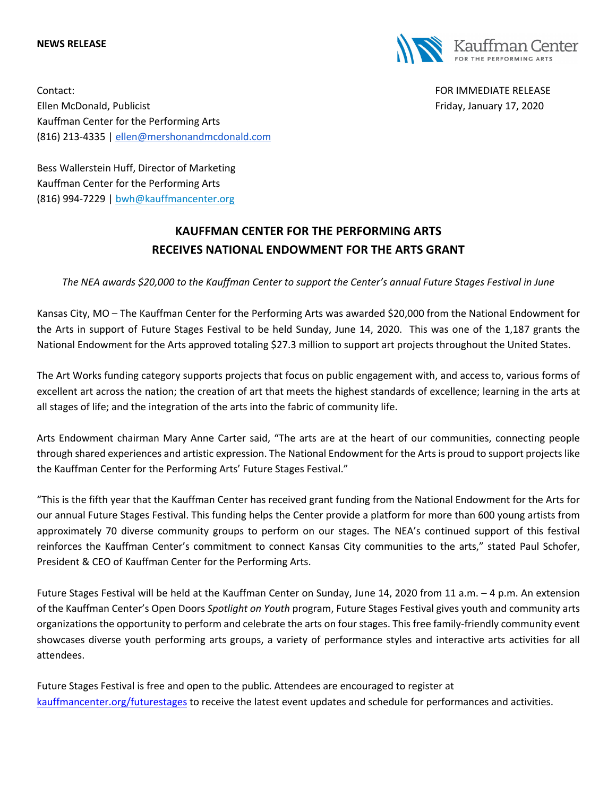## **NEWS RELEASE**



Contact: FOR IMMEDIATE RELEASE Ellen McDonald, Publicist Friday, January 17, 2020 Kauffman Center for the Performing Arts (816) 213-4335 | ellen@mershonandmcdonald.com

Bess Wallerstein Huff, Director of Marketing Kauffman Center for the Performing Arts (816) 994-7229 | bwh@kauffmancenter.org

## **KAUFFMAN CENTER FOR THE PERFORMING ARTS RECEIVES NATIONAL ENDOWMENT FOR THE ARTS GRANT**

*The NEA awards \$20,000 to the Kauffman Center to support the Center's annual Future Stages Festival in June*

Kansas City, MO – The Kauffman Center for the Performing Arts was awarded \$20,000 from the National Endowment for the Arts in support of Future Stages Festival to be held Sunday, June 14, 2020. This was one of the 1,187 grants the National Endowment for the Arts approved totaling \$27.3 million to support art projects throughout the United States.

The Art Works funding category supports projects that focus on public engagement with, and access to, various forms of excellent art across the nation; the creation of art that meets the highest standards of excellence; learning in the arts at all stages of life; and the integration of the arts into the fabric of community life.

Arts Endowment chairman Mary Anne Carter said, "The arts are at the heart of our communities, connecting people through shared experiences and artistic expression. The National Endowment for the Arts is proud to support projects like the Kauffman Center for the Performing Arts' Future Stages Festival."

"This is the fifth year that the Kauffman Center has received grant funding from the National Endowment for the Arts for our annual Future Stages Festival. This funding helps the Center provide a platform for more than 600 young artists from approximately 70 diverse community groups to perform on our stages. The NEA's continued support of this festival reinforces the Kauffman Center's commitment to connect Kansas City communities to the arts," stated Paul Schofer, President & CEO of Kauffman Center for the Performing Arts.

Future Stages Festival will be held at the Kauffman Center on Sunday, June 14, 2020 from 11 a.m. – 4 p.m. An extension of the Kauffman Center's Open Doors *Spotlight on Youth* program, Future Stages Festival gives youth and community arts organizations the opportunity to perform and celebrate the arts on four stages. This free family-friendly community event showcases diverse youth performing arts groups, a variety of performance styles and interactive arts activities for all attendees.

Future Stages Festival is free and open to the public. Attendees are encouraged to register at kauffmancenter.org/futurestages to receive the latest event updates and schedule for performances and activities.